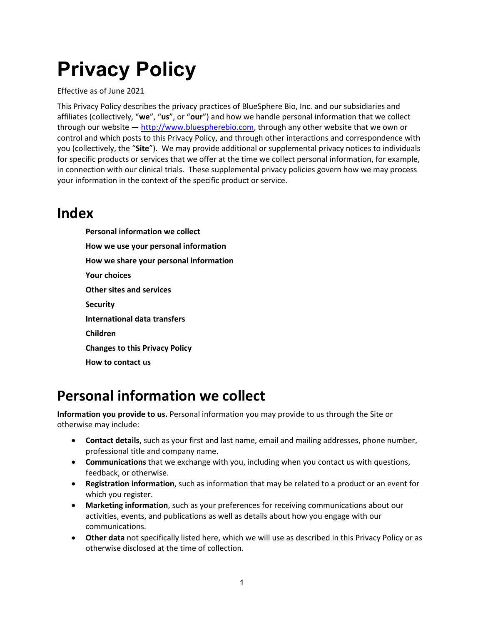# **Privacy Policy**

Effective as of June 2021

This Privacy Policy describes the privacy practices of BlueSphere Bio, Inc. and our subsidiaries and affiliates (collectively, "**we**", "**us**", or "**our**") and how we handle personal information that we collect through our website — http://www.bluespherebio.com, through any other website that we own or control and which posts to this Privacy Policy, and through other interactions and correspondence with you (collectively, the "**Site**"). We may provide additional or supplemental privacy notices to individuals for specific products or services that we offer at the time we collect personal information, for example, in connection with our clinical trials. These supplemental privacy policies govern how we may process your information in the context of the specific product or service.

#### **Index**

**Personal information we collect How we use your personal information How we share your personal information Your choices Other sites and services Security International data transfers Children Changes to this Privacy Policy How to contact us**

#### **Personal information we collect**

**Information you provide to us.** Personal information you may provide to us through the Site or otherwise may include:

- **Contact details,** such as your first and last name, email and mailing addresses, phone number, professional title and company name.
- **Communications** that we exchange with you, including when you contact us with questions, feedback, or otherwise.
- **Registration information**, such as information that may be related to a product or an event for which you register.
- **Marketing information**, such as your preferences for receiving communications about our activities, events, and publications as well as details about how you engage with our communications.
- **Other data** not specifically listed here, which we will use as described in this Privacy Policy or as otherwise disclosed at the time of collection.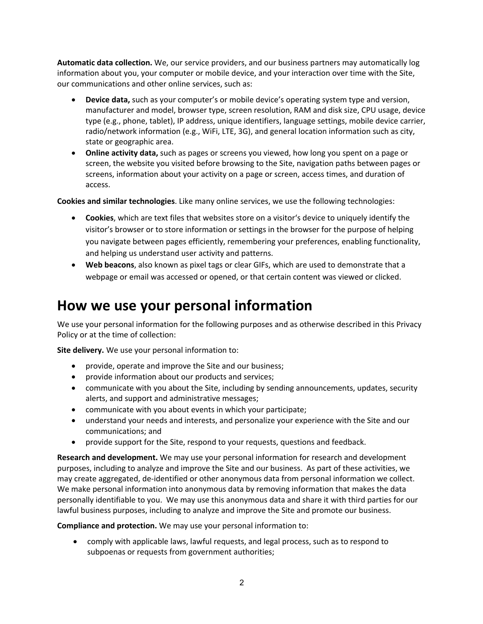**Automatic data collection.** We, our service providers, and our business partners may automatically log information about you, your computer or mobile device, and your interaction over time with the Site, our communications and other online services, such as:

- **Device data,** such as your computer's or mobile device's operating system type and version, manufacturer and model, browser type, screen resolution, RAM and disk size, CPU usage, device type (e.g., phone, tablet), IP address, unique identifiers, language settings, mobile device carrier, radio/network information (e.g., WiFi, LTE, 3G), and general location information such as city, state or geographic area.
- **Online activity data,** such as pages or screens you viewed, how long you spent on a page or screen, the website you visited before browsing to the Site, navigation paths between pages or screens, information about your activity on a page or screen, access times, and duration of access.

**Cookies and similar technologies**. Like many online services, we use the following technologies:

- **Cookies**, which are text files that websites store on a visitor's device to uniquely identify the visitor's browser or to store information or settings in the browser for the purpose of helping you navigate between pages efficiently, remembering your preferences, enabling functionality, and helping us understand user activity and patterns.
- **Web beacons**, also known as pixel tags or clear GIFs, which are used to demonstrate that a webpage or email was accessed or opened, or that certain content was viewed or clicked.

#### **How we use your personal information**

We use your personal information for the following purposes and as otherwise described in this Privacy Policy or at the time of collection:

**Site delivery.** We use your personal information to:

- provide, operate and improve the Site and our business;
- provide information about our products and services;
- communicate with you about the Site, including by sending announcements, updates, security alerts, and support and administrative messages;
- communicate with you about events in which your participate;
- understand your needs and interests, and personalize your experience with the Site and our communications; and
- provide support for the Site, respond to your requests, questions and feedback.

**Research and development.** We may use your personal information for research and development purposes, including to analyze and improve the Site and our business. As part of these activities, we may create aggregated, de-identified or other anonymous data from personal information we collect. We make personal information into anonymous data by removing information that makes the data personally identifiable to you. We may use this anonymous data and share it with third parties for our lawful business purposes, including to analyze and improve the Site and promote our business.

**Compliance and protection.** We may use your personal information to:

• comply with applicable laws, lawful requests, and legal process, such as to respond to subpoenas or requests from government authorities;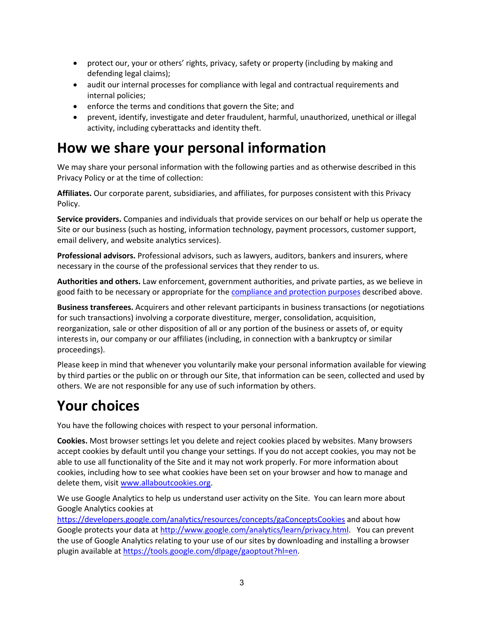- protect our, your or others' rights, privacy, safety or property (including by making and defending legal claims);
- audit our internal processes for compliance with legal and contractual requirements and internal policies;
- enforce the terms and conditions that govern the Site; and
- prevent, identify, investigate and deter fraudulent, harmful, unauthorized, unethical or illegal activity, including cyberattacks and identity theft.

#### **How we share your personal information**

We may share your personal information with the following parties and as otherwise described in this Privacy Policy or at the time of collection:

**Affiliates.** Our corporate parent, subsidiaries, and affiliates, for purposes consistent with this Privacy Policy.

**Service providers.** Companies and individuals that provide services on our behalf or help us operate the Site or our business (such as hosting, information technology, payment processors, customer support, email delivery, and website analytics services).

**Professional advisors.** Professional advisors, such as lawyers, auditors, bankers and insurers, where necessary in the course of the professional services that they render to us.

**Authorities and others.** Law enforcement, government authorities, and private parties, as we believe in good faith to be necessary or appropriate for the compliance and protection purposes described above.

**Business transferees.** Acquirers and other relevant participants in business transactions (or negotiations for such transactions) involving a corporate divestiture, merger, consolidation, acquisition, reorganization, sale or other disposition of all or any portion of the business or assets of, or equity interests in, our company or our affiliates (including, in connection with a bankruptcy or similar proceedings).

Please keep in mind that whenever you voluntarily make your personal information available for viewing by third parties or the public on or through our Site, that information can be seen, collected and used by others. We are not responsible for any use of such information by others.

#### **Your choices**

You have the following choices with respect to your personal information.

**Cookies.** Most browser settings let you delete and reject cookies placed by websites. Many browsers accept cookies by default until you change your settings. If you do not accept cookies, you may not be able to use all functionality of the Site and it may not work properly. For more information about cookies, including how to see what cookies have been set on your browser and how to manage and delete them, visit www.allaboutcookies.org.

We use Google Analytics to help us understand user activity on the Site. You can learn more about Google Analytics cookies at

https://developers.google.com/analytics/resources/concepts/gaConceptsCookies and about how Google protects your data at http://www.google.com/analytics/learn/privacy.html. You can prevent the use of Google Analytics relating to your use of our sites by downloading and installing a browser plugin available at https://tools.google.com/dlpage/gaoptout?hl=en.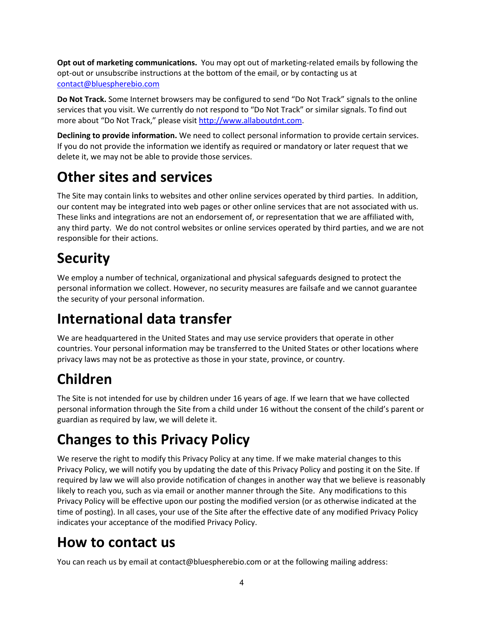**Opt out of marketing communications.** You may opt out of marketing-related emails by following the opt-out or unsubscribe instructions at the bottom of the email, or by contacting us at contact@bluespherebio.com

**Do Not Track.** Some Internet browsers may be configured to send "Do Not Track" signals to the online services that you visit. We currently do not respond to "Do Not Track" or similar signals. To find out more about "Do Not Track," please visit http://www.allaboutdnt.com.

**Declining to provide information.** We need to collect personal information to provide certain services. If you do not provide the information we identify as required or mandatory or later request that we delete it, we may not be able to provide those services.

## **Other sites and services**

The Site may contain links to websites and other online services operated by third parties. In addition, our content may be integrated into web pages or other online services that are not associated with us. These links and integrations are not an endorsement of, or representation that we are affiliated with, any third party. We do not control websites or online services operated by third parties, and we are not responsible for their actions.

## **Security**

We employ a number of technical, organizational and physical safeguards designed to protect the personal information we collect. However, no security measures are failsafe and we cannot guarantee the security of your personal information.

#### **International data transfer**

We are headquartered in the United States and may use service providers that operate in other countries. Your personal information may be transferred to the United States or other locations where privacy laws may not be as protective as those in your state, province, or country.

# **Children**

The Site is not intended for use by children under 16 years of age. If we learn that we have collected personal information through the Site from a child under 16 without the consent of the child's parent or guardian as required by law, we will delete it.

# **Changes to this Privacy Policy**

We reserve the right to modify this Privacy Policy at any time. If we make material changes to this Privacy Policy, we will notify you by updating the date of this Privacy Policy and posting it on the Site. If required by law we will also provide notification of changes in another way that we believe is reasonably likely to reach you, such as via email or another manner through the Site. Any modifications to this Privacy Policy will be effective upon our posting the modified version (or as otherwise indicated at the time of posting). In all cases, your use of the Site after the effective date of any modified Privacy Policy indicates your acceptance of the modified Privacy Policy.

# **How to contact us**

You can reach us by email at contact@bluespherebio.com or at the following mailing address: